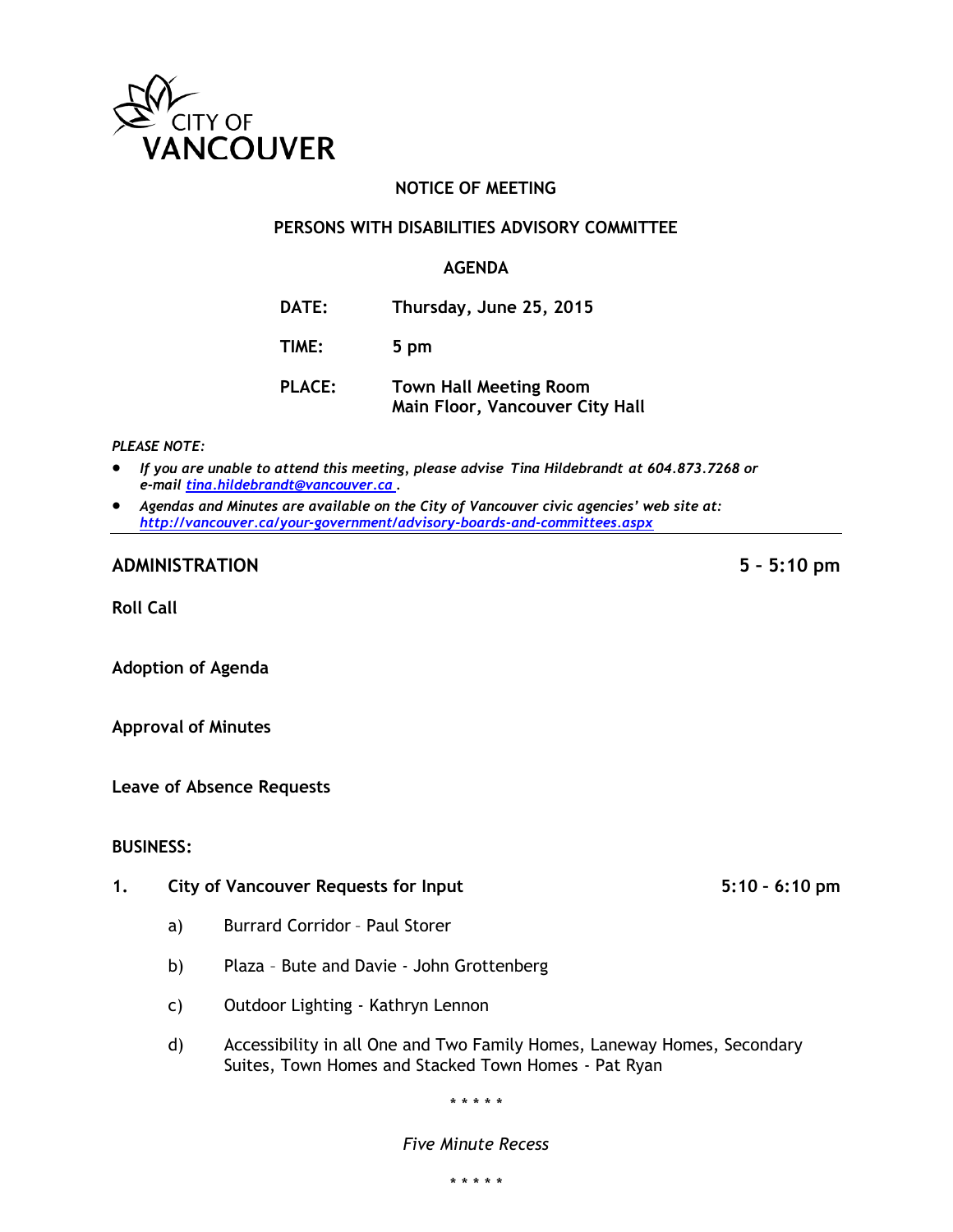

# **NOTICE OF MEETING**

#### **PERSONS WITH DISABILITIES ADVISORY COMMITTEE**

#### **AGENDA**

- **DATE: Thursday, June 25, 2015**
- **TIME: 5 pm**
- **PLACE: Town Hall Meeting Room Main Floor, Vancouver City Hall**

#### *PLEASE NOTE:*

- *If you are unable to attend this meeting, please advise Tina Hildebrandt at 604.873.7268 or e-mail [tina.hildebrandt@vancouver.ca](mailto:tina.hildebrandt@vancouver.ca) .*
- *Agendas and Minutes are available on the City of Vancouver civic agencies' web site at: <http://vancouver.ca/your-government/advisory-boards-and-committees.aspx>*

## **ADMINISTRATION 5 – 5:10 pm**

**Roll Call**

**Adoption of Agenda**

**Approval of Minutes**

**Leave of Absence Requests**

#### **BUSINESS:**

- **1. City of Vancouver Requests for Input 5:10 – 6:10 pm**
	- a) Burrard Corridor Paul Storer
	- b) Plaza Bute and Davie John Grottenberg
	- c) Outdoor Lighting Kathryn Lennon
	- d) Accessibility in all One and Two Family Homes, Laneway Homes, Secondary Suites, Town Homes and Stacked Town Homes - Pat Ryan

\* \* \* \* \*

#### *Five Minute Recess*

\* \* \* \* \*